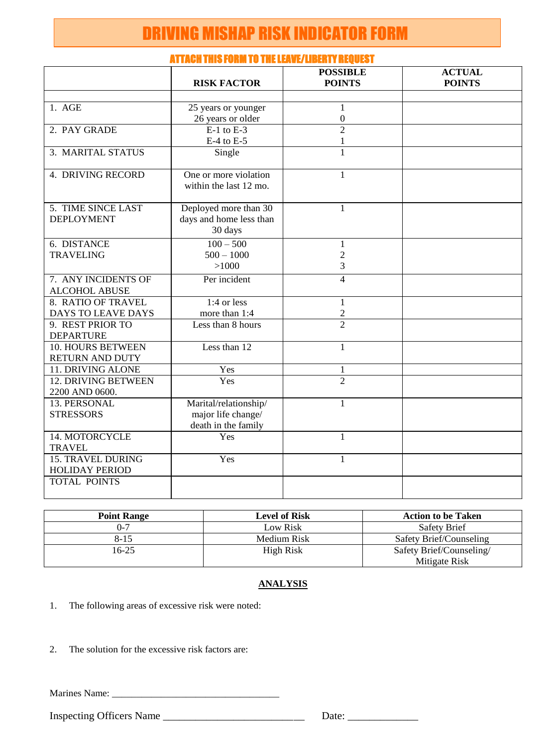# DRIVING MISHAP RISK INDICATOR FORM

|                                         | ni invii iniv i viim i v Tiil lletuv, liblii i negvev i     |                                  |                                |
|-----------------------------------------|-------------------------------------------------------------|----------------------------------|--------------------------------|
|                                         | <b>RISK FACTOR</b>                                          | <b>POSSIBLE</b><br><b>POINTS</b> | <b>ACTUAL</b><br><b>POINTS</b> |
|                                         |                                                             |                                  |                                |
| 1. AGE                                  | 25 years or younger                                         | $\mathbf{1}$                     |                                |
|                                         | 26 years or older                                           | $\boldsymbol{0}$                 |                                |
| 2. PAY GRADE                            | $E-1$ to $E-3$                                              | $\overline{2}$                   |                                |
|                                         | $E-4$ to $E-5$                                              | 1                                |                                |
| 3. MARITAL STATUS                       | Single                                                      | $\mathbf{1}$                     |                                |
| 4. DRIVING RECORD                       | One or more violation<br>within the last 12 mo.             | 1                                |                                |
| 5. TIME SINCE LAST<br><b>DEPLOYMENT</b> | Deployed more than 30<br>days and home less than<br>30 days | 1                                |                                |
| 6. DISTANCE                             | $100 - 500$                                                 | 1                                |                                |
| <b>TRAVELING</b>                        | $500 - 1000$                                                | $\overline{2}$                   |                                |
|                                         | >1000                                                       | 3                                |                                |
| 7. ANY INCIDENTS OF                     | Per incident                                                | $\overline{\mathbf{4}}$          |                                |
| <b>ALCOHOL ABUSE</b>                    |                                                             |                                  |                                |
| 8. RATIO OF TRAVEL                      | $1:4$ or less                                               | $\mathbf{1}$                     |                                |
| DAYS TO LEAVE DAYS                      | more than 1:4                                               | $\overline{c}$                   |                                |
| 9. REST PRIOR TO                        | Less than 8 hours                                           | $\mathcal{D}_{\mathcal{L}}$      |                                |
| <b>DEPARTURE</b>                        |                                                             |                                  |                                |
| <b>10. HOURS BETWEEN</b>                | Less than 12                                                | $\mathbf{1}$                     |                                |
| RETURN AND DUTY                         |                                                             |                                  |                                |
| 11. DRIVING ALONE                       | Yes                                                         | $\mathbf{1}$                     |                                |
| 12. DRIVING BETWEEN                     | Yes                                                         | $\overline{2}$                   |                                |
| 2200 AND 0600.                          |                                                             |                                  |                                |
| 13. PERSONAL                            | Marital/relationship/                                       | $\mathbf{1}$                     |                                |
| <b>STRESSORS</b>                        | major life change/                                          |                                  |                                |
|                                         | death in the family                                         |                                  |                                |
| 14. MOTORCYCLE                          | Yes                                                         | $\mathbf{1}$                     |                                |
| <b>TRAVEL</b>                           |                                                             |                                  |                                |
| <b>15. TRAVEL DURING</b>                | Yes                                                         | 1                                |                                |
| <b>HOLIDAY PERIOD</b>                   |                                                             |                                  |                                |
| <b>TOTAL POINTS</b>                     |                                                             |                                  |                                |
|                                         |                                                             |                                  |                                |

### ATTACH THIS FORM TO THE LEAVE/LIBERTY REQUEST

| <b>Point Range</b> | <b>Level of Risk</b> | <b>Action to be Taken</b> |
|--------------------|----------------------|---------------------------|
| 0-7                | Low Risk             | Safety Brief              |
| $8 - 15$           | Medium Risk          | Safety Brief/Counseling   |
| 16-25              | High Risk            | Safety Brief/Counseling/  |
|                    |                      | Mitigate Risk             |

#### **ANALYSIS**

1. The following areas of excessive risk were noted:

2. The solution for the excessive risk factors are:

Marines Name: \_\_\_\_\_\_\_\_\_\_\_\_\_\_\_\_\_\_\_\_\_\_\_\_\_\_\_\_\_\_\_\_\_\_

Inspecting Officers Name \_\_\_\_\_\_\_\_\_\_\_\_\_\_\_\_\_\_\_\_\_\_\_\_\_\_ Date: \_\_\_\_\_\_\_\_\_\_\_\_\_